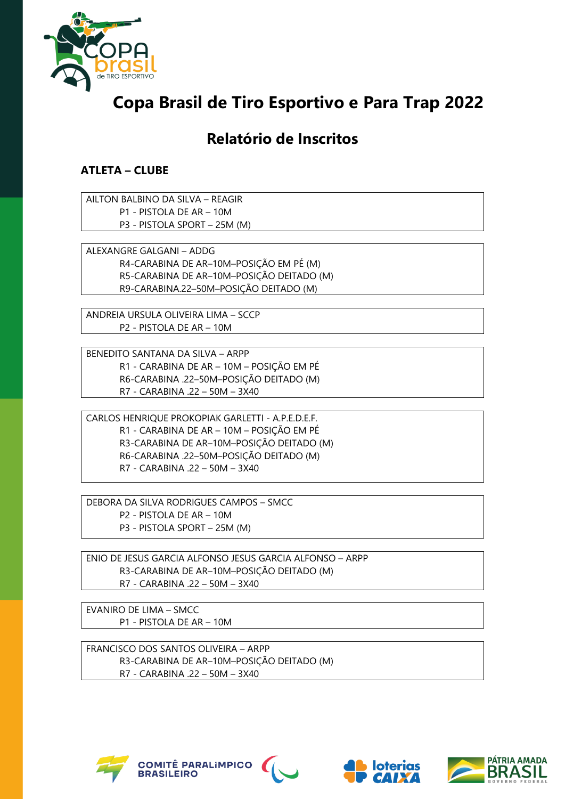

## **Copa Brasil de Tiro Esportivo e Para Trap 2022**

## **Relatório de Inscritos**

## **ATLETA – CLUBE**

AILTON BALBINO DA SILVA – REAGIR P1 - PISTOLA DE AR – 10M P3 - PISTOLA SPORT – 25M (M)

ALEXANGRE GALGANI – ADDG R4-CARABINA DE AR–10M–POSIÇÃO EM PÉ (M) R5-CARABINA DE AR–10M–POSIÇÃO DEITADO (M) R9-CARABINA.22–50M–POSIÇÃO DEITADO (M)

ANDREIA URSULA OLIVEIRA LIMA – SCCP P2 - PISTOLA DE AR – 10M

BENEDITO SANTANA DA SILVA – ARPP R1 - CARABINA DE AR – 10M – POSIÇÃO EM PÉ R6-CARABINA .22–50M–POSIÇÃO DEITADO (M) R7 - CARABINA .22 – 50M – 3X40

CARLOS HENRIQUE PROKOPIAK GARLETTI - A.P.E.D.E.F. R1 - CARABINA DE AR – 10M – POSIÇÃO EM PÉ R3-CARABINA DE AR–10M–POSIÇÃO DEITADO (M) R6-CARABINA .22–50M–POSIÇÃO DEITADO (M) R7 - CARABINA .22 – 50M – 3X40

DEBORA DA SILVA RODRIGUES CAMPOS – SMCC P2 - PISTOLA DE AR – 10M P3 - PISTOLA SPORT – 25M (M)

ENIO DE JESUS GARCIA ALFONSO JESUS GARCIA ALFONSO – ARPP R3-CARABINA DE AR–10M–POSIÇÃO DEITADO (M) R7 - CARABINA .22 – 50M – 3X40

EVANIRO DE LIMA – SMCC P1 - PISTOLA DE AR – 10M

FRANCISCO DOS SANTOS OLIVEIRA – ARPP R3-CARABINA DE AR–10M–POSIÇÃO DEITADO (M) R7 - CARABINA .22 – 50M – 3X40







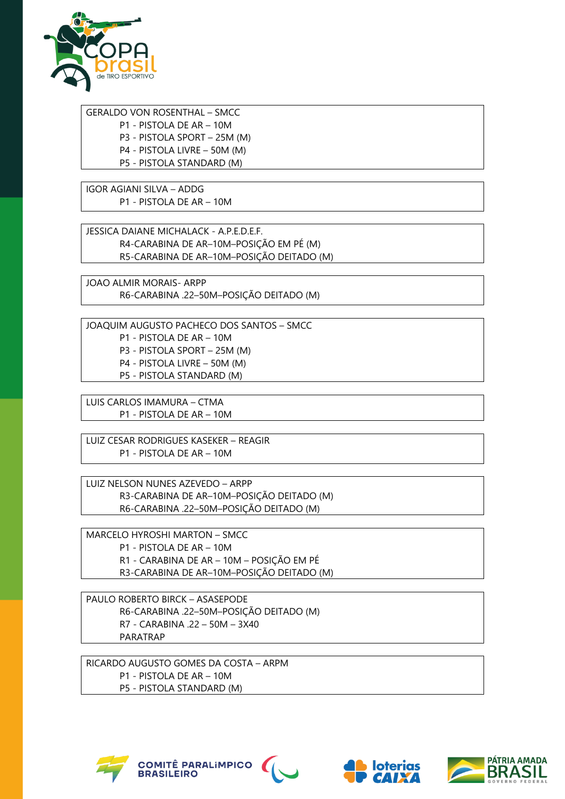

GERALDO VON ROSENTHAL – SMCC P1 - PISTOLA DE AR – 10M P3 - PISTOLA SPORT – 25M (M) P4 - PISTOLA LIVRE – 50M (M) P5 - PISTOLA STANDARD (M)

IGOR AGIANI SILVA – ADDG P1 - PISTOLA DE AR – 10M

JESSICA DAIANE MICHALACK - A.P.E.D.E.F. R4-CARABINA DE AR–10M–POSIÇÃO EM PÉ (M) R5-CARABINA DE AR–10M–POSIÇÃO DEITADO (M)

JOAO ALMIR MORAIS- ARPP R6-CARABINA .22–50M–POSIÇÃO DEITADO (M)

JOAQUIM AUGUSTO PACHECO DOS SANTOS – SMCC P1 - PISTOLA DE AR – 10M P3 - PISTOLA SPORT – 25M (M) P4 - PISTOLA LIVRE – 50M (M) P5 - PISTOLA STANDARD (M)

LUIS CARLOS IMAMURA – CTMA P1 - PISTOLA DE AR – 10M

LUIZ CESAR RODRIGUES KASEKER – REAGIR P1 - PISTOLA DE AR – 10M

LUIZ NELSON NUNES AZEVEDO – ARPP R3-CARABINA DE AR–10M–POSIÇÃO DEITADO (M) R6-CARABINA .22–50M–POSIÇÃO DEITADO (M)

MARCELO HYROSHI MARTON – SMCC P1 - PISTOLA DE AR – 10M R1 - CARABINA DE AR – 10M – POSIÇÃO EM PÉ R3-CARABINA DE AR–10M–POSIÇÃO DEITADO (M)

PAULO ROBERTO BIRCK – ASASEPODE R6-CARABINA .22–50M–POSIÇÃO DEITADO (M) R7 - CARABINA .22 – 50M – 3X40 PARATRAP

RICARDO AUGUSTO GOMES DA COSTA – ARPM P1 - PISTOLA DE AR – 10M P5 - PISTOLA STANDARD (M)